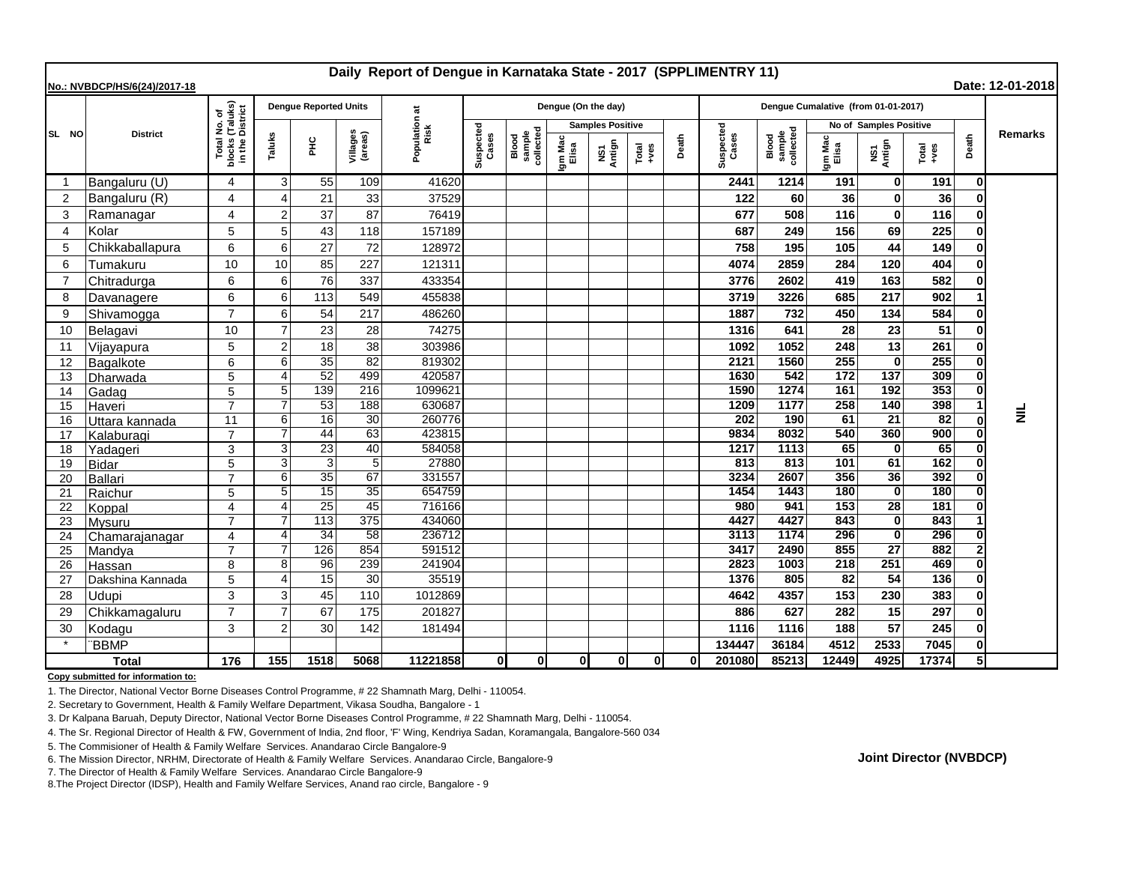| Daily Report of Dengue in Karnataka State - 2017 (SPPLIMENTRY 11)<br>Date: 12-01-2018<br>No.: NVBDCP/HS/6(24)/2017-18 |                  |                                                                 |                |                              |                       |                      |                    |                              |                         |               |                                                              |          |                                     |                              |                  |                    |                 |       |                |
|-----------------------------------------------------------------------------------------------------------------------|------------------|-----------------------------------------------------------------|----------------|------------------------------|-----------------------|----------------------|--------------------|------------------------------|-------------------------|---------------|--------------------------------------------------------------|----------|-------------------------------------|------------------------------|------------------|--------------------|-----------------|-------|----------------|
|                                                                                                                       | <b>District</b>  | l No. of<br>(Taluks)<br>District<br>Total<br>blocks<br>in the I |                | <b>Dengue Reported Units</b> |                       | ă                    |                    |                              | Dengue (On the day)     |               |                                                              |          | Dengue Cumalative (from 01-01-2017) |                              |                  |                    |                 |       |                |
| SL NO                                                                                                                 |                  |                                                                 |                |                              |                       | Population a<br>Risk |                    |                              | <b>Samples Positive</b> |               |                                                              |          |                                     | No of Samples Positive       |                  |                    |                 |       |                |
|                                                                                                                       |                  |                                                                 | Taluks         | 울                            | Villages<br>(areas)   |                      | Suspected<br>Cases | Blood<br>sample<br>collected | Igm Mac<br>Elisa        | NS1<br>Antign | $\begin{array}{c}\n\text{Total} \\ \text{+ves}\n\end{array}$ | Death    | Suspected<br>Cases                  | Blood<br>sample<br>collected | Igm Mac<br>Elisa | NS1<br>Antign      | Total<br>+ves   | Death | <b>Remarks</b> |
| -1                                                                                                                    | Bangaluru (U)    | 4                                                               | 3              | 55                           | 109                   | 41620                |                    |                              |                         |               |                                                              |          | 2441                                | 1214                         | 191              | 0                  | 191             | 0     |                |
| $\overline{2}$                                                                                                        | Bangaluru (R)    | 4                                                               | $\overline{4}$ | 21                           | 33                    | 37529                |                    |                              |                         |               |                                                              |          | 122                                 | 60                           | 36               | $\mathbf{0}$       | 36              |       |                |
| 3                                                                                                                     | Ramanagar        | 4                                                               | $\overline{2}$ | 37                           | 87                    | 76419                |                    |                              |                         |               |                                                              |          | 677                                 | 508                          | 116              | $\mathbf{0}$       | 116             |       |                |
| $\overline{4}$                                                                                                        | Kolar            | 5                                                               | 5              | 43                           | 118                   | 157189               |                    |                              |                         |               |                                                              |          | 687                                 | 249                          | 156              | 69                 | 225             |       |                |
| 5                                                                                                                     | Chikkaballapura  | 6                                                               | 6              | 27                           | 72                    | 128972               |                    |                              |                         |               |                                                              |          | 758                                 | 195                          | 105              | 44                 | 149             |       |                |
| 6                                                                                                                     | Tumakuru         | 10                                                              | 10             | 85                           | 227                   | 121311               |                    |                              |                         |               |                                                              |          | 4074                                | 2859                         | 284              | 120                | 404             |       |                |
| $\overline{7}$                                                                                                        | Chitradurga      | 6                                                               | 6              | 76                           | 337                   | 433354               |                    |                              |                         |               |                                                              |          | 3776                                | 2602                         | 419              | 163                | 582             |       |                |
| 8                                                                                                                     | Davanagere       | 6                                                               | 6              | 113                          | 549                   | 455838               |                    |                              |                         |               |                                                              |          | 3719                                | 3226                         | 685              | 217                | 902             |       |                |
| 9                                                                                                                     | Shivamogga       | $\overline{7}$                                                  | 6              | 54                           | 217                   | 486260               |                    |                              |                         |               |                                                              |          | 1887                                | 732                          | 450              | 134                | 584             |       |                |
| 10                                                                                                                    | Belagavi         | 10                                                              | $\overline{7}$ | 23                           | 28                    | 74275                |                    |                              |                         |               |                                                              |          | 1316                                | 641                          | 28               | 23                 | 51              |       |                |
| 11                                                                                                                    | Vijayapura       | 5                                                               | $\overline{2}$ | 18                           | 38                    | 303986               |                    |                              |                         |               |                                                              |          | 1092                                | 1052                         | 248              | 13                 | 261             |       |                |
| 12                                                                                                                    | Bagalkote        | 6                                                               | 6              | 35                           | $\overline{82}$       | 819302               |                    |                              |                         |               |                                                              |          | 2121                                | 1560                         | 255              | $\mathbf{0}$       | 255             |       |                |
| 13                                                                                                                    | Dharwada         | 5                                                               | $\overline{4}$ | 52                           | 499                   | 420587               |                    |                              |                         |               |                                                              |          | 1630                                | 542                          | $\frac{1}{172}$  | 137                | 309             |       |                |
| 14                                                                                                                    | Gadag            | 5                                                               | 5              | 139                          | 216                   | 1099621              |                    |                              |                         |               |                                                              |          | 1590                                | 1274                         | 161              | 192                | 353             |       |                |
| 15                                                                                                                    | Haveri           | $\overline{7}$                                                  | $\overline{7}$ | 53                           | 188                   | 630687               |                    |                              |                         |               |                                                              |          | 1209                                | 1177                         | 258              | 140                | 398             |       | $\equiv$       |
| 16                                                                                                                    | Uttara kannada   | 11                                                              | 6              | $\overline{16}$              | 30                    | 260776               |                    |                              |                         |               |                                                              |          | 202                                 | 190                          | 61               | $\overline{21}$    | $\overline{82}$ |       |                |
| 17                                                                                                                    | Kalaburagi       | $\overline{7}$                                                  | $\overline{7}$ | 44                           | 63                    | 423815               |                    |                              |                         |               |                                                              |          | 9834                                | 8032                         | 540              | 360                | 900             |       |                |
| 18                                                                                                                    | Yadageri         | 3                                                               | 3              | $\overline{23}$              | 40                    | 584058               |                    |                              |                         |               |                                                              |          | 1217                                | 1113                         | 65               | $\mathbf{0}$       | 65              |       |                |
| 19                                                                                                                    | <b>Bidar</b>     | 5                                                               | 3              | 3                            | $5\phantom{.0}$       | 27880                |                    |                              |                         |               |                                                              |          | 813                                 | 813                          | 101              | 61                 | 162             |       |                |
| 20                                                                                                                    | <b>Ballari</b>   |                                                                 | 6<br>5         | 35<br>15                     | 67<br>$\overline{35}$ | 331557<br>654759     |                    |                              |                         |               |                                                              |          | 3234<br>1454                        | 2607<br>1443                 | 356<br>180       | 36<br>$\mathbf{0}$ | 392<br>180      |       |                |
| 21<br>22                                                                                                              | Raichur          | 5<br>4                                                          | $\overline{4}$ | $\overline{25}$              | 45                    | 716166               |                    |                              |                         |               |                                                              |          | 980                                 | 941                          | 153              | $\overline{28}$    | 181             |       |                |
| 23                                                                                                                    | Koppal<br>Mysuru | $\overline{7}$                                                  |                | $\overline{113}$             | 375                   | 434060               |                    |                              |                         |               |                                                              |          | 4427                                | 4427                         | 843              | $\mathbf{0}$       | 843             |       |                |
| 24                                                                                                                    | Chamarajanagar   | 4                                                               | 4              | 34                           | 58                    | 236712               |                    |                              |                         |               |                                                              |          | 3113                                | 1174                         | 296              | $\mathbf{0}$       | 296             |       |                |
| 25                                                                                                                    | Mandya           | $\overline{7}$                                                  |                | 126                          | 854                   | 591512               |                    |                              |                         |               |                                                              |          | 3417                                | 2490                         | 855              | $\overline{27}$    | 882             |       |                |
| 26                                                                                                                    | <b>Hassan</b>    | 8                                                               | 8              | 96                           | 239                   | 241904               |                    |                              |                         |               |                                                              |          | 2823                                | 1003                         | $\overline{218}$ | 251                | 469             |       |                |
| 27                                                                                                                    | Dakshina Kannada | 5                                                               | $\overline{4}$ | 15                           | 30                    | 35519                |                    |                              |                         |               |                                                              |          | 1376                                | 805                          | 82               | 54                 | 136             |       |                |
| 28                                                                                                                    | Udupi            | 3                                                               | 3              | 45                           | 110                   | 1012869              |                    |                              |                         |               |                                                              |          | 4642                                | 4357                         | 153              | 230                | 383             |       |                |
| 29                                                                                                                    | Chikkamagaluru   | $\overline{7}$                                                  | $\overline{7}$ | 67                           | 175                   | 201827               |                    |                              |                         |               |                                                              |          | 886                                 | 627                          | 282              | 15                 | 297             |       |                |
| 30                                                                                                                    | Kodagu           | 3                                                               | $\overline{2}$ | 30                           | 142                   | 181494               |                    |                              |                         |               |                                                              |          | 1116                                | 1116                         | 188              | 57                 | 245             |       |                |
|                                                                                                                       | <b>BBMP</b>      |                                                                 |                |                              |                       |                      |                    |                              |                         |               |                                                              |          | 134447                              | 36184                        | 4512             | 2533               | 7045            |       |                |
| <b>Total</b>                                                                                                          |                  | 176                                                             | 155            | 1518                         | 5068                  | 11221858             | 0l                 | Οl                           | $\mathbf{0}$            | 0             | 0                                                            | $\Omega$ | 201080                              | 85213                        | 12449            | 4925               | 17374           |       |                |

**Copy submitted for information to:**

1. The Director, National Vector Borne Diseases Control Programme, # 22 Shamnath Marg, Delhi - 110054.

2. Secretary to Government, Health & Family Welfare Department, Vikasa Soudha, Bangalore - 1

3. Dr Kalpana Baruah, Deputy Director, National Vector Borne Diseases Control Programme, # 22 Shamnath Marg, Delhi - 110054.

4. The Sr. Regional Director of Health & FW, Government of India, 2nd floor, 'F' Wing, Kendriya Sadan, Koramangala, Bangalore-560 034

5. The Commisioner of Health & Family Welfare Services. Anandarao Circle Bangalore-9

6. The Mission Director, NRHM, Directorate of Health & Family Welfare Services. Anandarao Circle, Bangalore-9

7. The Director of Health & Family Welfare Services. Anandarao Circle Bangalore-9

8.The Project Director (IDSP), Health and Family Welfare Services, Anand rao circle, Bangalore - 9

**Joint Director (NVBDCP)**